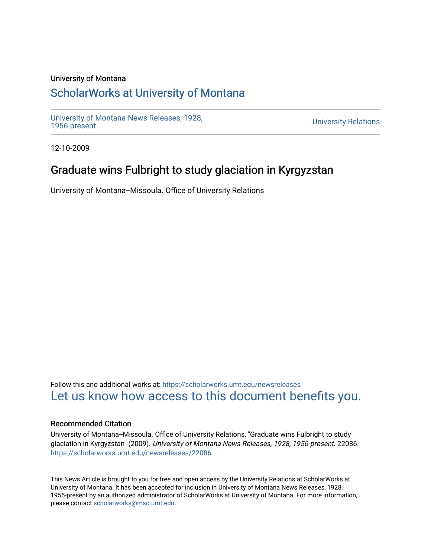#### University of Montana

## [ScholarWorks at University of Montana](https://scholarworks.umt.edu/)

[University of Montana News Releases, 1928,](https://scholarworks.umt.edu/newsreleases) 

**University Relations** 

12-10-2009

# Graduate wins Fulbright to study glaciation in Kyrgyzstan

University of Montana--Missoula. Office of University Relations

Follow this and additional works at: [https://scholarworks.umt.edu/newsreleases](https://scholarworks.umt.edu/newsreleases?utm_source=scholarworks.umt.edu%2Fnewsreleases%2F22086&utm_medium=PDF&utm_campaign=PDFCoverPages) [Let us know how access to this document benefits you.](https://goo.gl/forms/s2rGfXOLzz71qgsB2) 

#### Recommended Citation

University of Montana--Missoula. Office of University Relations, "Graduate wins Fulbright to study glaciation in Kyrgyzstan" (2009). University of Montana News Releases, 1928, 1956-present. 22086. [https://scholarworks.umt.edu/newsreleases/22086](https://scholarworks.umt.edu/newsreleases/22086?utm_source=scholarworks.umt.edu%2Fnewsreleases%2F22086&utm_medium=PDF&utm_campaign=PDFCoverPages) 

This News Article is brought to you for free and open access by the University Relations at ScholarWorks at University of Montana. It has been accepted for inclusion in University of Montana News Releases, 1928, 1956-present by an authorized administrator of ScholarWorks at University of Montana. For more information, please contact [scholarworks@mso.umt.edu.](mailto:scholarworks@mso.umt.edu)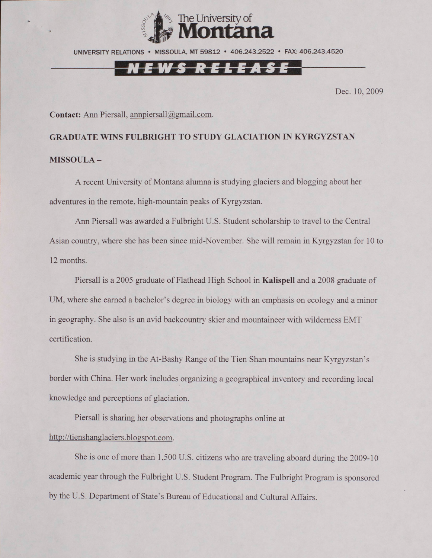

UNIVERSITY RELATIONS • MISSOULA. MT 59812 • 406.243.2522 • FAX: 406.243.4520

### *KELEA*

Dec. 10. 2009

Contact: Ann Piersall, [annpiersall@gmail.com.](mailto:annpiersall@gmail.com)

# **GRADUATE WINS FULBRIGHT TO STUDY GLACIATION IN KYRGYZSTAN MISSOULA -**

A recent University of Montana alumna is studying glaciers and blogging about her adventures in the remote, high-mountain peaks of Kyrgyzstan.

Ann Piersall was awarded a Fulbright U.S. Student scholarship to travel to the Central Asian country, where she has been since mid-November. She will remain in Kyrgyzstan for 10 to 12 months.

Piersall is a 2005 graduate of Flathead High School in **Kalispell** and a 2008 graduate of UM, where she earned a bachelor's degree in biology with an emphasis on ecology and a minor in geography. She also is an avid backcountry skier and mountaineer with wilderness EMT certification.

She is studying in the At-Bashy Range of the Tien Shan mountains near Kyrgyzstan's border with China. Her work includes organizing a geographical inventory and recording local knowledge and perceptions of glaciation.

Piersall is sharing her observations and photographs online at http://tienshanglaciers.blogspot.com.

She is one of more than 1,500 U.S. citizens who are traveling aboard during the 2009-10 academic year through the Fulbright U.S. Student Program. The Fulbright Program is sponsored by the U.S. Department of State's Bureau of Educational and Cultural Affairs.